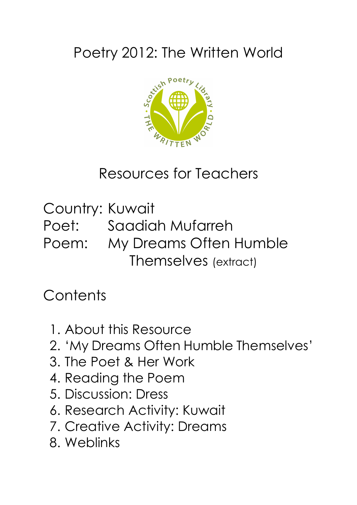# Poetry 2012: The Written World



## Resources for Teachers

Country: Kuwait Poet: Saadiah Mufarreh Poem: My Dreams Often Humble Themselves (extract)

## **Contents**

- 1. About this Resource
- 2. 'My Dreams Often Humble Themselves'
- 3. The Poet & Her Work
- 4. Reading the Poem
- 5. Discussion: Dress
- 6. Research Activity: Kuwait
- 7. Creative Activity: Dreams
- 8. Weblinks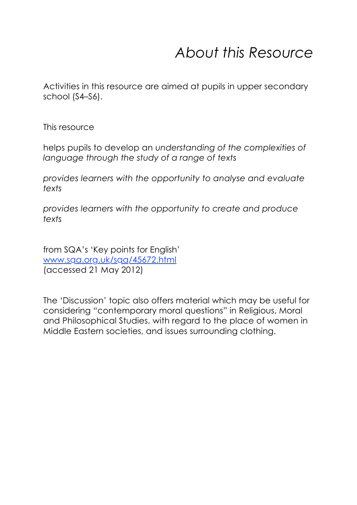## *About this Resource*

Activities in this resource are aimed at pupils in upper secondary school (S4–S6).

This resource

helps pupils to develop an *understanding of the complexities of language through the study of a range of texts*

*provides learners with the opportunity to analyse and evaluate texts*

*provides learners with the opportunity to create and produce texts*

from SQA's 'Key points for English' www.sqa.org.uk/sqa/45672.html (accessed 21 May 2012)

The 'Discussion' topic also offers material which may be useful for considering "contemporary moral questions" in Religious, Moral and Philosophical Studies, with regard to the place of women in Middle Eastern societies, and issues surrounding clothing.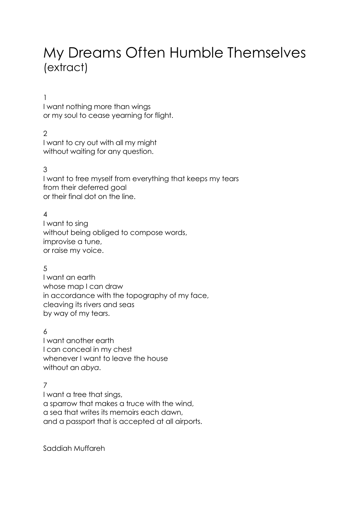### My Dreams Often Humble Themselves (extract)

#### 1

I want nothing more than wings or my soul to cease yearning for flight.

#### $\mathcal{P}$

I want to cry out with all my might without waiting for any question.

#### 3

I want to free myself from everything that keeps my tears from their deferred goal or their final dot on the line.

#### 4

I want to sing without being obliged to compose words, improvise a tune, or raise my voice.

#### 5

I want an earth whose map I can draw in accordance with the topography of my face, cleaving its rivers and seas by way of my tears.

#### 6

I want another earth I can conceal in my chest whenever I want to leave the house without an *abya*.

#### 7

I want a tree that sings, a sparrow that makes a truce with the wind, a sea that writes its memoirs each dawn, and a passport that is accepted at all airports.

Saddiah Muffareh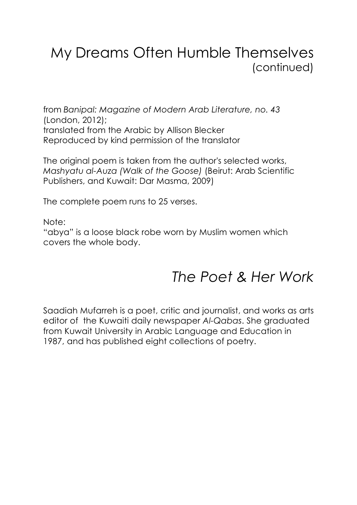### My Dreams Often Humble Themselves (continued)

from *Banipal: Magazine of Modern Arab Literature, no. 43* (London, 2012); translated from the Arabic by Allison Blecker Reproduced by kind permission of the translator

The original poem is taken from the author's selected works, *Mashyatu al-Auza (Walk of the Goose)* (Beirut: Arab Scientific Publishers, and Kuwait: Dar Masma, 2009)

The complete poem runs to 25 verses.

Note:

"abya" is a loose black robe worn by Muslim women which covers the whole body.

### *The Poet & Her Work*

Saadiah Mufarreh is a poet, critic and journalist, and works as arts editor of the Kuwaiti daily newspaper *Al-Qabas*. She graduated from Kuwait University in Arabic Language and Education in 1987, and has published eight collections of poetry.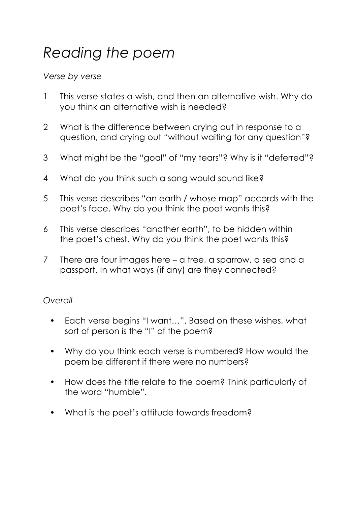# *Reading the poem*

### *Verse by verse*

- 1 This verse states a wish, and then an alternative wish. Why do you think an alternative wish is needed?
- 2 What is the difference between crying out in response to a question, and crying out "without waiting for any question"?
- 3 What might be the "goal" of "my tears"? Why is it "deferred"?
- 4 What do you think such a song would sound like?
- 5 This verse describes "an earth / whose map" accords with the poet's face. Why do you think the poet wants this?
- 6 This verse describes "another earth", to be hidden within the poet's chest. Why do you think the poet wants this?
- 7 There are four images here a tree, a sparrow, a sea and a passport. In what ways (if any) are they connected?

### *Overall*

- Each verse begins "I want…". Based on these wishes, what sort of person is the "I" of the poem?
- Why do you think each verse is numbered? How would the poem be different if there were no numbers?
- How does the title relate to the poem? Think particularly of the word "humble".
- What is the poet's attitude towards freedom?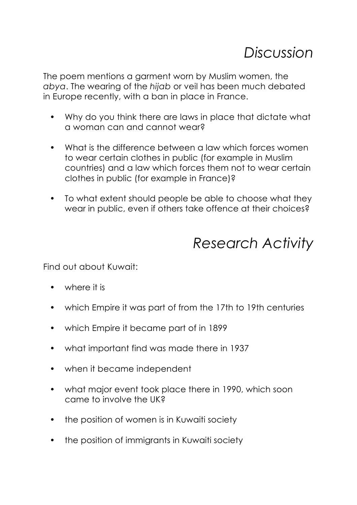### *Discussion*

The poem mentions a garment worn by Muslim women, the *abya*. The wearing of the *hijab* or veil has been much debated in Europe recently, with a ban in place in France.

- Why do you think there are laws in place that dictate what a woman can and cannot wear?
- What is the difference between a law which forces women to wear certain clothes in public (for example in Muslim countries) and a law which forces them not to wear certain clothes in public (for example in France)?
- To what extent should people be able to choose what they wear in public, even if others take offence at their choices?

### *Research Activity*

Find out about Kuwait:

- where it is
- which Empire it was part of from the 17th to 19th centuries
- which Empire it became part of in 1899
- what important find was made there in 1937
- when it became independent
- what major event took place there in 1990, which soon came to involve the UK?
- the position of women is in Kuwaiti society
- the position of immigrants in Kuwaiti society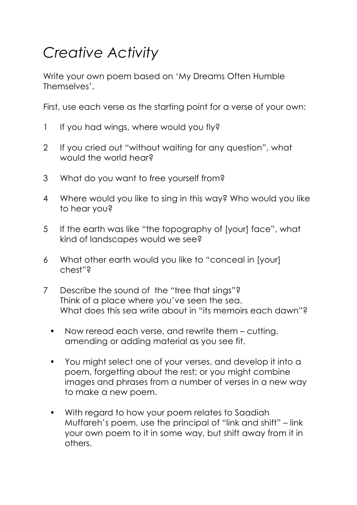# *Creative Activity*

Write your own poem based on 'My Dreams Often Humble Themselves'.

First, use each verse as the starting point for a verse of your own:

- 1 If you had wings, where would you fly?
- 2 If you cried out "without waiting for any question", what would the world hear?
- 3 What do you want to free yourself from?
- 4 Where would you like to sing in this way? Who would you like to hear you?
- 5 If the earth was like "the topography of [your] face", what kind of landscapes would we see?
- 6 What other earth would you like to "conceal in [your] chest"?
- 7 Describe the sound of the "tree that sings"? Think of a place where you've seen the sea. What does this sea write about in "its memoirs each dawn"?
	- Now reread each verse, and rewrite them cutting, amending or adding material as you see fit.
	- You might select one of your verses, and develop it into a poem, forgetting about the rest; or you might combine images and phrases from a number of verses in a new way to make a new poem.
	- With regard to how your poem relates to Saadiah Muffareh's poem, use the principal of "link and shift" – link your own poem to it in some way, but shift away from it in others.